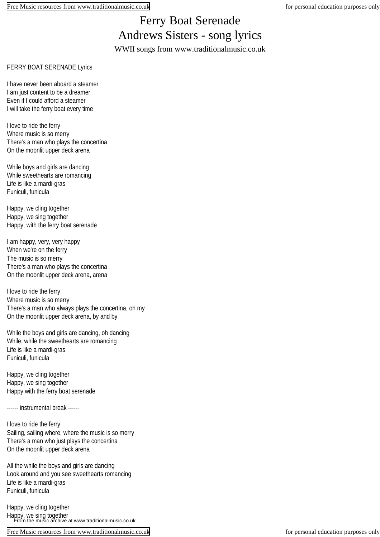## Ferry Boat Serenade Andrews Sisters - song lyrics WWII songs from www.traditionalmusic.co.uk

## FERRY BOAT SERENADE Lyrics

I have never been aboard a steamer I am just content to be a dreamer Even if I could afford a steamer I will take the ferry boat every time

I love to ride the ferry Where music is so merry There's a man who plays the concertina On the moonlit upper deck arena

While boys and girls are dancing While sweethearts are romancing Life is like a mardi-gras Funiculi, funicula

Happy, we cling together Happy, we sing together Happy, with the ferry boat serenade

I am happy, very, very happy When we're on the ferry The music is so merry There's a man who plays the concertina On the moonlit upper deck arena, arena

I love to ride the ferry Where music is so merry There's a man who always plays the concertina, oh my On the moonlit upper deck arena, by and by

While the boys and girls are dancing, oh dancing While, while the sweethearts are romancing Life is like a mardi-gras Funiculi, funicula

Happy, we cling together Happy, we sing together Happy with the ferry boat serenade

------ instrumental break ------

I love to ride the ferry Sailing, sailing where, where the music is so merry There's a man who just plays the concertina On the moonlit upper deck arena

All the while the boys and girls are dancing Look around and you see sweethearts romancing Life is like a mardi-gras Funiculi, funicula

Happy, we cling together Happy, we sing together From the music archive at www.traditionalmusic.co.uk